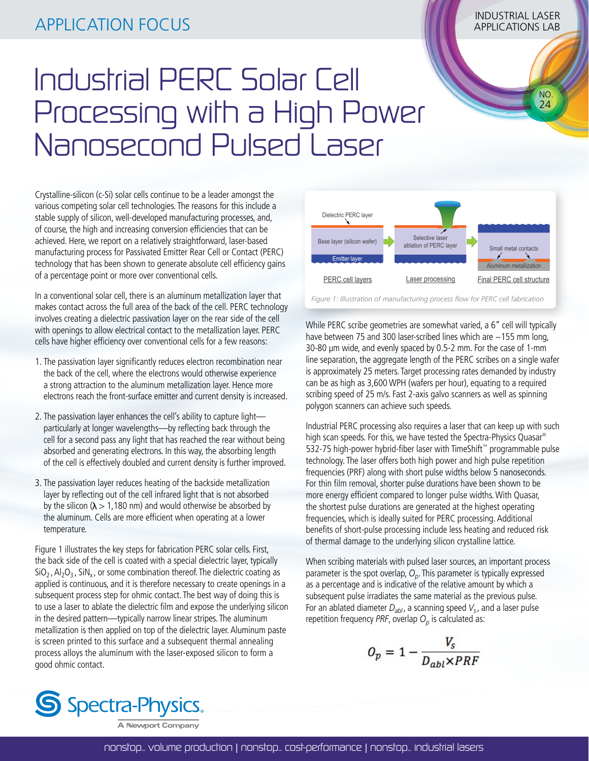## INDUSTRIAL LASER APPLICATION FOCUS APPLICATIONS LAB

# Industrial PERC Solar Cell Processing with a High Power Nanosecond Pulsed Laser

Crystalline-silicon (c-Si) solar cells continue to be a leader amongst the various competing solar cell technologies. The reasons for this include a stable supply of silicon, well-developed manufacturing processes, and, of course, the high and increasing conversion efficiencies that can be achieved. Here, we report on a relatively straightforward, laser-based manufacturing process for Passivated Emitter Rear Cell or Contact (PERC) technology that has been shown to generate absolute cell efficiency gains of a percentage point or more over conventional cells.

In a conventional solar cell, there is an aluminum metallization layer that makes contact across the full area of the back of the cell. PERC technology involves creating a dielectric passivation layer on the rear side of the cell with openings to allow electrical contact to the metallization layer. PERC cells have higher efficiency over conventional cells for a few reasons:

- 1. The passivation layer significantly reduces electron recombination near the back of the cell, where the electrons would otherwise experience a strong attraction to the aluminum metallization layer. Hence more electrons reach the front-surface emitter and current density is increased.
- 2. The passivation layer enhances the cell's ability to capture light particularly at longer wavelengths—by reflecting back through the cell for a second pass any light that has reached the rear without being absorbed and generating electrons. In this way, the absorbing length of the cell is effectively doubled and current density is further improved.
- 3. The passivation layer reduces heating of the backside metallization layer by reflecting out of the cell infrared light that is not absorbed by the silicon ( $\lambda > 1,180$  nm) and would otherwise be absorbed by the aluminum. Cells are more efficient when operating at a lower temperature.

Figure 1 illustrates the key steps for fabrication PERC solar cells. First, the back side of the cell is coated with a special dielectric layer, typically  $SiO<sub>2</sub>$ , Al<sub>2</sub>O<sub>3</sub>, SiN<sub>x</sub>, or some combination thereof. The dielectric coating as applied is continuous, and it is therefore necessary to create openings in a subsequent process step for ohmic contact. The best way of doing this is to use a laser to ablate the dielectric film and expose the underlying silicon in the desired pattern—typically narrow linear stripes. The aluminum metallization is then applied on top of the dielectric layer. Aluminum paste is screen printed to this surface and a subsequent thermal annealing process alloys the aluminum with the laser-exposed silicon to form a good ohmic contact.



 NO. 24

*Figure 1: Illustration of manufacturing process flow for PERC cell fabrication*

While PERC scribe geometries are somewhat varied, a 6" cell will typically have between 75 and 300 laser-scribed lines which are ~155 mm long, 30-80 µm wide, and evenly spaced by 0.5-2 mm. For the case of 1-mm line separation, the aggregate length of the PERC scribes on a single wafer is approximately 25 meters. Target processing rates demanded by industry can be as high as 3,600 WPH (wafers per hour), equating to a required scribing speed of 25 m/s. Fast 2-axis galvo scanners as well as spinning polygon scanners can achieve such speeds.

Industrial PERC processing also requires a laser that can keep up with such high scan speeds. For this, we have tested the Spectra-Physics Quasar® 532-75 high-power hybrid-fiber laser with TimeShift™ programmable pulse technology. The laser offers both high power and high pulse repetition frequencies (PRF) along with short pulse widths below 5 nanoseconds. For thin film removal, shorter pulse durations have been shown to be more energy efficient compared to longer pulse widths. With Quasar, the shortest pulse durations are generated at the highest operating frequencies, which is ideally suited for PERC processing. Additional benefits of short-pulse processing include less heating and reduced risk of thermal damage to the underlying silicon crystalline lattice.

When scribing materials with pulsed laser sources, an important process parameter is the spot overlap, *Op*. This parameter is typically expressed as a percentage and is indicative of the relative amount by which a subsequent pulse irradiates the same material as the previous pulse. For an ablated diameter  $D_{ab}$ , a scanning speed  $V_s$ , and a laser pulse repetition frequency *PRF*, overlap  $O_p$  is calculated as:

$$
O_p = 1 - \frac{V_s}{D_{abl} \times PRF}
$$



A Newport Company